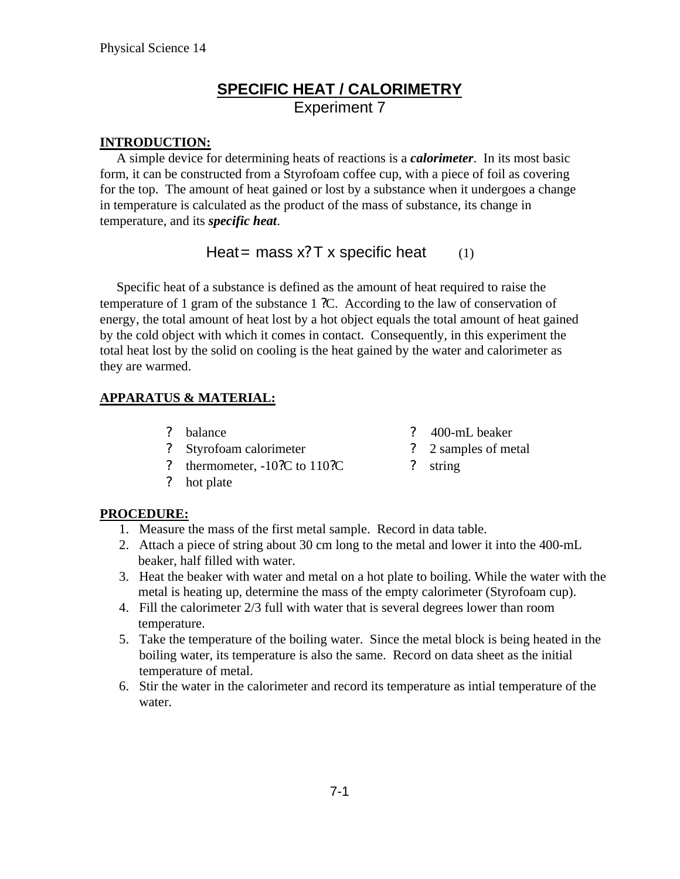### **SPECIFIC HEAT / CALORIMETRY** Experiment 7

#### **INTRODUCTION:**

 A simple device for determining heats of reactions is a *calorimeter*. In its most basic form, it can be constructed from a Styrofoam coffee cup, with a piece of foil as covering for the top. The amount of heat gained or lost by a substance when it undergoes a change in temperature is calculated as the product of the mass of substance, its change in temperature, and its *specific heat*.

### Heat = mass  $x$ ? T x specific heat (1)

 Specific heat of a substance is defined as the amount of heat required to raise the temperature of 1 gram of the substance 1 ?C. According to the law of conservation of energy, the total amount of heat lost by a hot object equals the total amount of heat gained by the cold object with which it comes in contact. Consequently, in this experiment the total heat lost by the solid on cooling is the heat gained by the water and calorimeter as they are warmed.

#### **APPARATUS & MATERIAL:**

- ? balance
- ? Styrofoam calorimeter
- ? thermometer, -10?C to 110?C
- ? hot plate
- ? 400-mL beaker
- ? 2 samples of metal
- ? string

#### **PROCEDURE:**

- 1. Measure the mass of the first metal sample. Record in data table.
- 2. Attach a piece of string about 30 cm long to the metal and lower it into the 400-mL beaker, half filled with water.
- 3. Heat the beaker with water and metal on a hot plate to boiling. While the water with the metal is heating up, determine the mass of the empty calorimeter (Styrofoam cup).
- 4. Fill the calorimeter 2/3 full with water that is several degrees lower than room temperature.
- 5. Take the temperature of the boiling water. Since the metal block is being heated in the boiling water, its temperature is also the same. Record on data sheet as the initial temperature of metal.
- 6. Stir the water in the calorimeter and record its temperature as intial temperature of the water.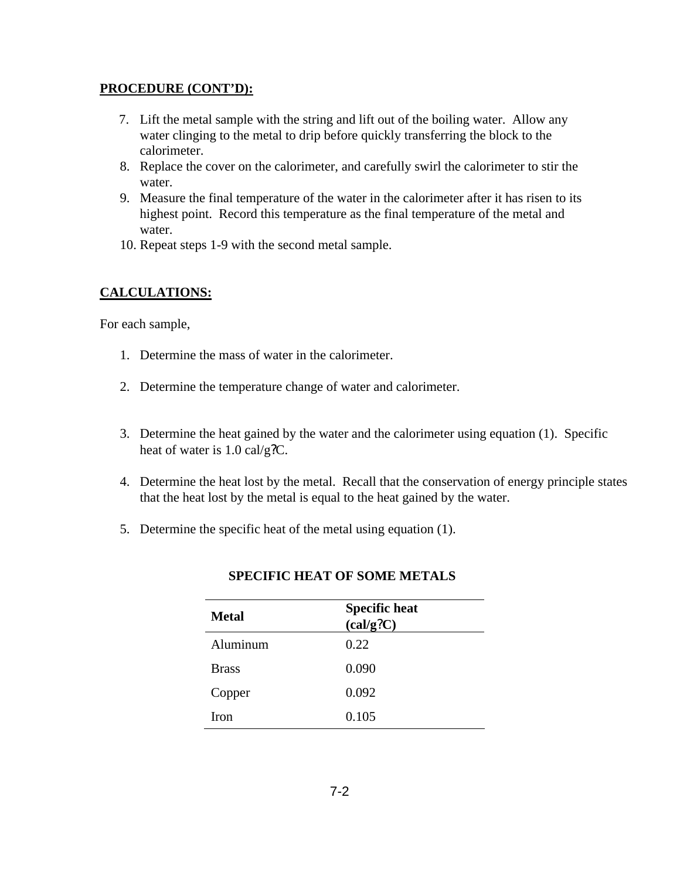#### **PROCEDURE (CONT'D):**

- 7. Lift the metal sample with the string and lift out of the boiling water. Allow any water clinging to the metal to drip before quickly transferring the block to the calorimeter.
- 8. Replace the cover on the calorimeter, and carefully swirl the calorimeter to stir the water.
- 9. Measure the final temperature of the water in the calorimeter after it has risen to its highest point. Record this temperature as the final temperature of the metal and water.
- 10. Repeat steps 1-9 with the second metal sample.

#### **CALCULATIONS:**

For each sample,

- 1. Determine the mass of water in the calorimeter.
- 2. Determine the temperature change of water and calorimeter.
- 3. Determine the heat gained by the water and the calorimeter using equation (1). Specific heat of water is 1.0 cal/g?C.
- 4. Determine the heat lost by the metal. Recall that the conservation of energy principle states that the heat lost by the metal is equal to the heat gained by the water.
- 5. Determine the specific heat of the metal using equation (1).

| <b>Metal</b> | <b>Specific heat</b><br>(cal/g?C) |
|--------------|-----------------------------------|
| Aluminum     | 0.22                              |
| <b>Brass</b> | 0.090                             |
| Copper       | 0.092                             |
| Iron         | 0.105                             |

#### **SPECIFIC HEAT OF SOME METALS**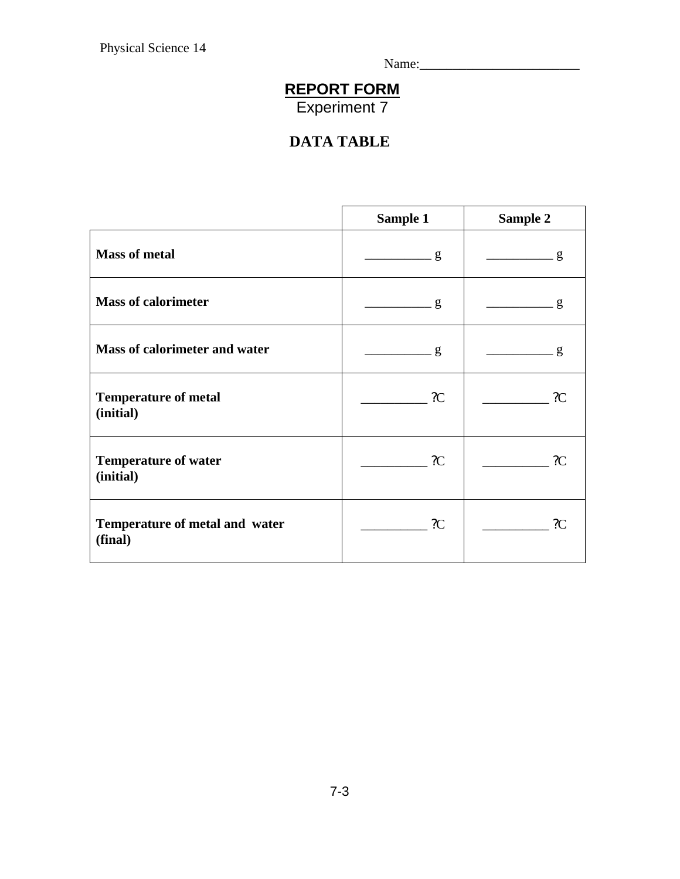Name:\_\_\_\_\_\_\_\_\_\_\_\_\_\_\_\_\_\_\_\_\_\_\_\_

## **REPORT FORM**

Experiment 7

# **DATA TABLE**

|                                           | Sample 1        | Sample 2       |
|-------------------------------------------|-----------------|----------------|
| <b>Mass of metal</b>                      | $\frac{g}{g}$   | $\frac{g}{g}$  |
| <b>Mass of calorimeter</b>                | $\frac{1}{2}$ g | g              |
| Mass of calorimeter and water             | $\frac{1}{2}$ g | $\frac{g}{g}$  |
| <b>Temperature of metal</b><br>(initial)  | $\overline{C}$  | $\overline{C}$ |
| <b>Temperature of water</b><br>(initial)  | 2C              | 2C             |
| Temperature of metal and water<br>(final) | $\mathcal{C}$   | 2C             |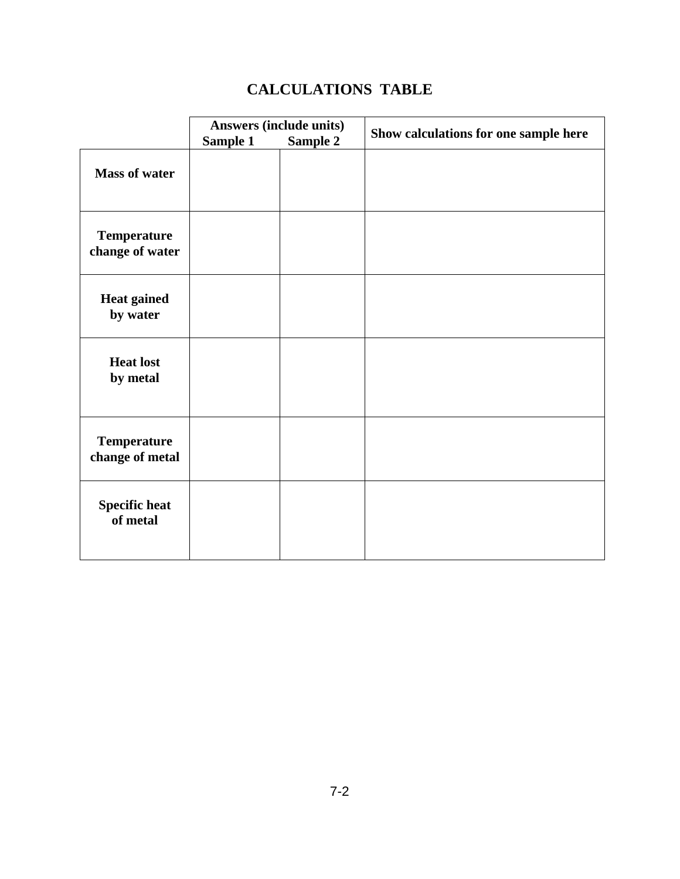# **CALCULATIONS TABLE**

|                                       | <b>Answers (include units)</b> |                 | Show calculations for one sample here |
|---------------------------------------|--------------------------------|-----------------|---------------------------------------|
| <b>Mass of water</b>                  | Sample 1                       | <b>Sample 2</b> |                                       |
| <b>Temperature</b><br>change of water |                                |                 |                                       |
| <b>Heat gained</b><br>by water        |                                |                 |                                       |
| <b>Heat lost</b><br>by metal          |                                |                 |                                       |
| <b>Temperature</b><br>change of metal |                                |                 |                                       |
| <b>Specific heat</b><br>of metal      |                                |                 |                                       |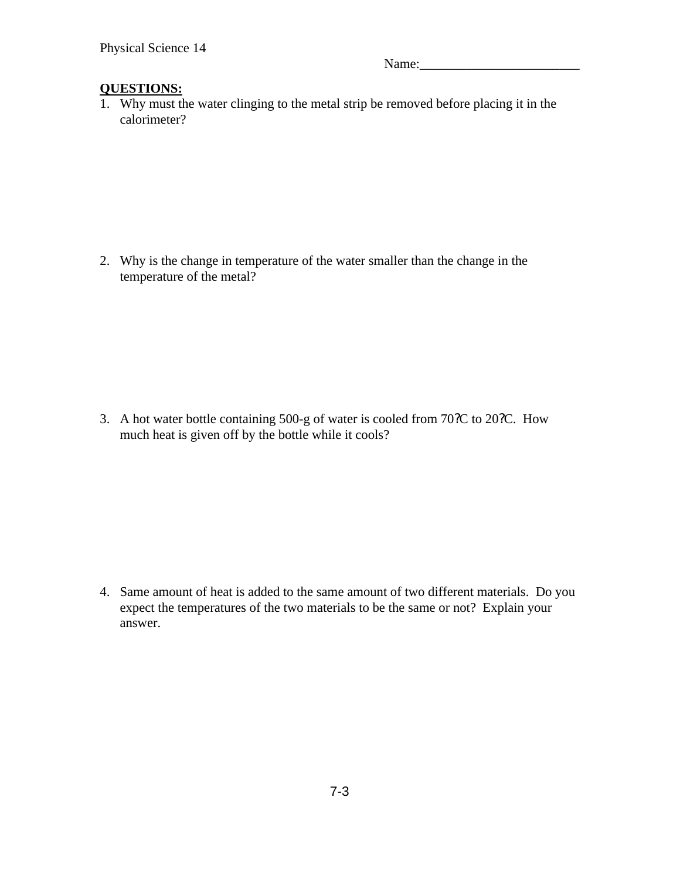Name:

#### **QUESTIONS:**

1. Why must the water clinging to the metal strip be removed before placing it in the calorimeter?

2. Why is the change in temperature of the water smaller than the change in the temperature of the metal?

3. A hot water bottle containing 500-g of water is cooled from 70?C to 20?C. How much heat is given off by the bottle while it cools?

4. Same amount of heat is added to the same amount of two different materials. Do you expect the temperatures of the two materials to be the same or not? Explain your answer.